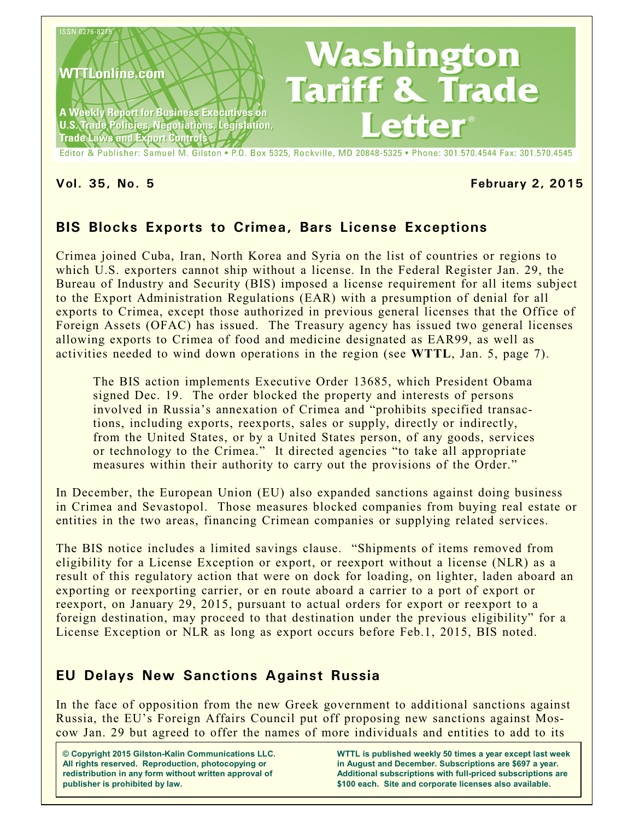

#### **Vol. 35, No. 5 February 2, 2015**

## **BIS Blocks Exports to Crimea, Bars License Exceptions**

Crimea joined Cuba, Iran, North Korea and Syria on the list of countries or regions to which U.S. exporters cannot ship without a license. In the Federal Register Jan. 29, the Bureau of Industry and Security (BIS) imposed a license requirement for all items subject to the Export Administration Regulations (EAR) with a presumption of denial for all exports to Crimea, except those authorized in previous general licenses that the Office of Foreign Assets (OFAC) has issued. The Treasury agency has issued two general licenses allowing exports to Crimea of food and medicine designated as EAR99, as well as activities needed to wind down operations in the region (see **WTTL**, Jan. 5, page 7).

The BIS action implements Executive Order 13685, which President Obama signed Dec. 19. The order blocked the property and interests of persons involved in Russia's annexation of Crimea and "prohibits specified transactions, including exports, reexports, sales or supply, directly or indirectly, from the United States, or by a United States person, of any goods, services or technology to the Crimea." It directed agencies "to take all appropriate measures within their authority to carry out the provisions of the Order."

In December, the European Union (EU) also expanded sanctions against doing business in Crimea and Sevastopol. Those measures blocked companies from buying real estate or entities in the two areas, financing Crimean companies or supplying related services.

The BIS notice includes a limited savings clause. "Shipments of items removed from eligibility for a License Exception or export, or reexport without a license (NLR) as a result of this regulatory action that were on dock for loading, on lighter, laden aboard an exporting or reexporting carrier, or en route aboard a carrier to a port of export or reexport, on January 29, 2015, pursuant to actual orders for export or reexport to a foreign destination, may proceed to that destination under the previous eligibility" for a License Exception or NLR as long as export occurs before Feb.1, 2015, BIS noted.

## **EU Delays New Sanctions Against Russia**

In the face of opposition from the new Greek government to additional sanctions against Russia, the EU's Foreign Affairs Council put off proposing new sanctions against Moscow Jan. 29 but agreed to offer the names of more individuals and entities to add to its

**© Copyright 2015 Gilston-Kalin Communications LLC. All rights reserved. Reproduction, photocopying or redistribution in any form without written approval of publisher is prohibited by law.** 

**WTTL is published weekly 50 times a year except last week in August and December. Subscriptions are \$697 a year. Additional subscriptions with full-priced subscriptions are \$100 each. Site and corporate licenses also available.**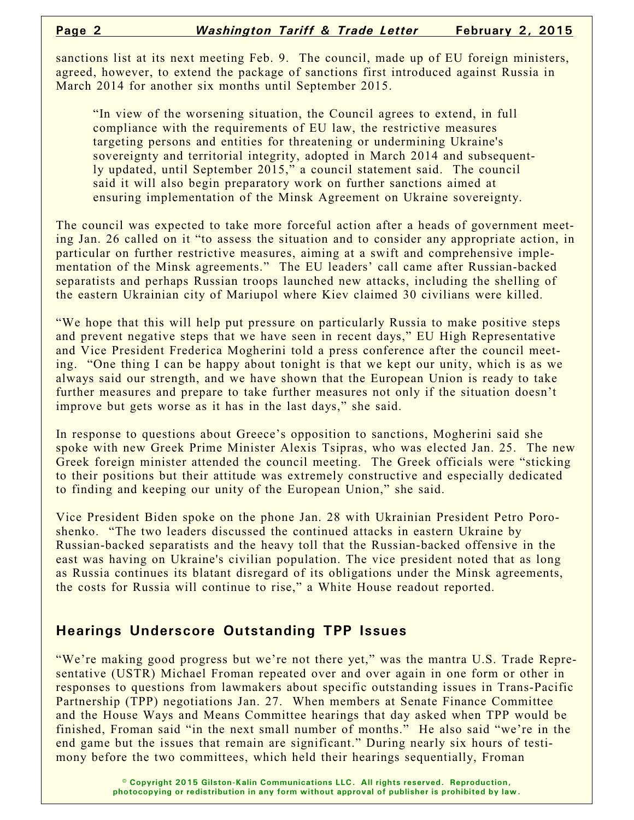sanctions list at its next meeting Feb. 9. The council, made up of EU foreign ministers, agreed, however, to extend the package of sanctions first introduced against Russia in March 2014 for another six months until September 2015.

"In view of the worsening situation, the Council agrees to extend, in full compliance with the requirements of EU law, the restrictive measures targeting persons and entities for threatening or undermining Ukraine's sovereignty and territorial integrity, adopted in March 2014 and subsequently updated, until September 2015," a council statement said. The council said it will also begin preparatory work on further sanctions aimed at ensuring implementation of the Minsk Agreement on Ukraine sovereignty.

The council was expected to take more forceful action after a heads of government meeting Jan. 26 called on it "to assess the situation and to consider any appropriate action, in particular on further restrictive measures, aiming at a swift and comprehensive implementation of the Minsk agreements." The EU leaders' call came after Russian-backed separatists and perhaps Russian troops launched new attacks, including the shelling of the eastern Ukrainian city of Mariupol where Kiev claimed 30 civilians were killed.

"We hope that this will help put pressure on particularly Russia to make positive steps and prevent negative steps that we have seen in recent days," EU High Representative and Vice President Frederica Mogherini told a press conference after the council meeting. "One thing I can be happy about tonight is that we kept our unity, which is as we always said our strength, and we have shown that the European Union is ready to take further measures and prepare to take further measures not only if the situation doesn't improve but gets worse as it has in the last days," she said.

In response to questions about Greece's opposition to sanctions, Mogherini said she spoke with new Greek Prime Minister Alexis Tsipras, who was elected Jan. 25. The new Greek foreign minister attended the council meeting. The Greek officials were "sticking to their positions but their attitude was extremely constructive and especially dedicated to finding and keeping our unity of the European Union," she said.

Vice President Biden spoke on the phone Jan. 28 with Ukrainian President Petro Poroshenko. "The two leaders discussed the continued attacks in eastern Ukraine by Russian-backed separatists and the heavy toll that the Russian-backed offensive in the east was having on Ukraine's civilian population. The vice president noted that as long as Russia continues its blatant disregard of its obligations under the Minsk agreements, the costs for Russia will continue to rise," a White House readout reported.

#### **Hearings Underscore Outstanding TPP Issues**

"We're making good progress but we're not there yet," was the mantra U.S. Trade Representative (USTR) Michael Froman repeated over and over again in one form or other in responses to questions from lawmakers about specific outstanding issues in Trans-Pacific Partnership (TPP) negotiations Jan. 27. When members at Senate Finance Committee and the House Ways and Means Committee hearings that day asked when TPP would be finished, Froman said "in the next small number of months." He also said "we're in the end game but the issues that remain are significant." During nearly six hours of testimony before the two committees, which held their hearings sequentially, Froman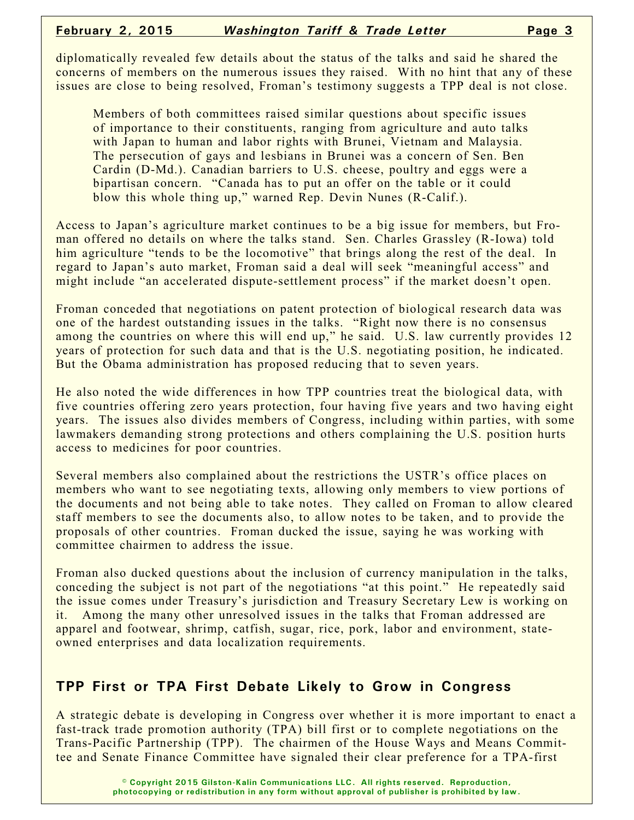diplomatically revealed few details about the status of the talks and said he shared the concerns of members on the numerous issues they raised. With no hint that any of these issues are close to being resolved, Froman's testimony suggests a TPP deal is not close.

Members of both committees raised similar questions about specific issues of importance to their constituents, ranging from agriculture and auto talks with Japan to human and labor rights with Brunei, Vietnam and Malaysia. The persecution of gays and lesbians in Brunei was a concern of Sen. Ben Cardin (D-Md.). Canadian barriers to U.S. cheese, poultry and eggs were a bipartisan concern. "Canada has to put an offer on the table or it could blow this whole thing up," warned Rep. Devin Nunes (R-Calif.).

Access to Japan's agriculture market continues to be a big issue for members, but Froman offered no details on where the talks stand. Sen. Charles Grassley (R-Iowa) told him agriculture "tends to be the locomotive" that brings along the rest of the deal. In regard to Japan's auto market, Froman said a deal will seek "meaningful access" and might include "an accelerated dispute-settlement process" if the market doesn't open.

Froman conceded that negotiations on patent protection of biological research data was one of the hardest outstanding issues in the talks. "Right now there is no consensus among the countries on where this will end up," he said. U.S. law currently provides 12 years of protection for such data and that is the U.S. negotiating position, he indicated. But the Obama administration has proposed reducing that to seven years.

He also noted the wide differences in how TPP countries treat the biological data, with five countries offering zero years protection, four having five years and two having eight years. The issues also divides members of Congress, including within parties, with some lawmakers demanding strong protections and others complaining the U.S. position hurts access to medicines for poor countries.

Several members also complained about the restrictions the USTR's office places on members who want to see negotiating texts, allowing only members to view portions of the documents and not being able to take notes. They called on Froman to allow cleared staff members to see the documents also, to allow notes to be taken, and to provide the proposals of other countries. Froman ducked the issue, saying he was working with committee chairmen to address the issue.

Froman also ducked questions about the inclusion of currency manipulation in the talks, conceding the subject is not part of the negotiations "at this point." He repeatedly said the issue comes under Treasury's jurisdiction and Treasury Secretary Lew is working on it. Among the many other unresolved issues in the talks that Froman addressed are apparel and footwear, shrimp, catfish, sugar, rice, pork, labor and environment, stateowned enterprises and data localization requirements.

#### **TPP First or TPA First Debate Likely to Grow in Congress**

A strategic debate is developing in Congress over whether it is more important to enact a fast-track trade promotion authority (TPA) bill first or to complete negotiations on the Trans-Pacific Partnership (TPP). The chairmen of the House Ways and Means Committee and Senate Finance Committee have signaled their clear preference for a TPA-first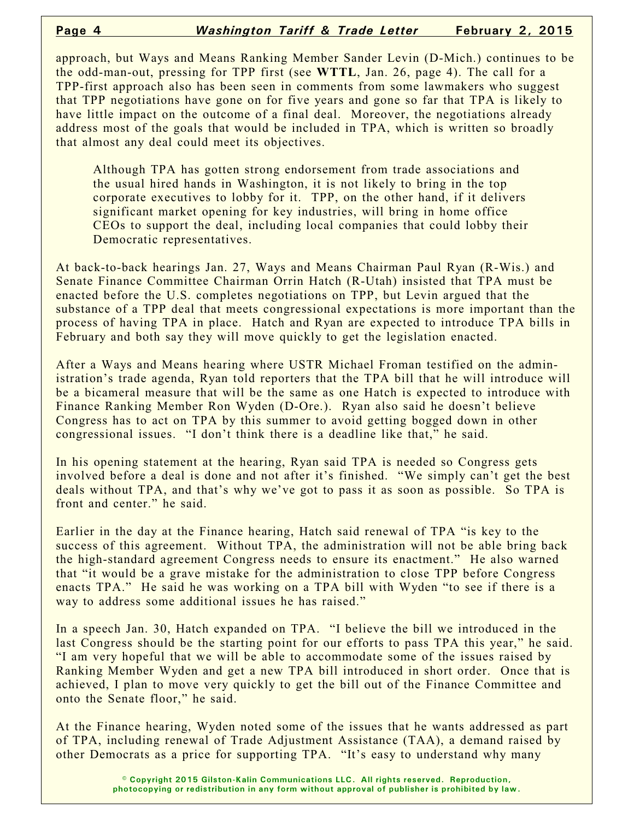approach, but Ways and Means Ranking Member Sander Levin (D-Mich.) continues to be the odd-man-out, pressing for TPP first (see **WTTL**, Jan. 26, page 4). The call for a TPP-first approach also has been seen in comments from some lawmakers who suggest that TPP negotiations have gone on for five years and gone so far that TPA is likely to have little impact on the outcome of a final deal. Moreover, the negotiations already address most of the goals that would be included in TPA, which is written so broadly that almost any deal could meet its objectives.

Although TPA has gotten strong endorsement from trade associations and the usual hired hands in Washington, it is not likely to bring in the top corporate executives to lobby for it. TPP, on the other hand, if it delivers significant market opening for key industries, will bring in home office CEOs to support the deal, including local companies that could lobby their Democratic representatives.

At back-to-back hearings Jan. 27, Ways and Means Chairman Paul Ryan (R-Wis.) and Senate Finance Committee Chairman Orrin Hatch (R-Utah) insisted that TPA must be enacted before the U.S. completes negotiations on TPP, but Levin argued that the substance of a TPP deal that meets congressional expectations is more important than the process of having TPA in place. Hatch and Ryan are expected to introduce TPA bills in February and both say they will move quickly to get the legislation enacted.

After a Ways and Means hearing where USTR Michael Froman testified on the administration's trade agenda, Ryan told reporters that the TPA bill that he will introduce will be a bicameral measure that will be the same as one Hatch is expected to introduce with Finance Ranking Member Ron Wyden (D-Ore.). Ryan also said he doesn't believe Congress has to act on TPA by this summer to avoid getting bogged down in other congressional issues. "I don't think there is a deadline like that," he said.

In his opening statement at the hearing, Ryan said TPA is needed so Congress gets involved before a deal is done and not after it's finished. "We simply can't get the best deals without TPA, and that's why we've got to pass it as soon as possible. So TPA is front and center." he said.

Earlier in the day at the Finance hearing, Hatch said renewal of TPA "is key to the success of this agreement. Without TPA, the administration will not be able bring back the high-standard agreement Congress needs to ensure its enactment." He also warned that "it would be a grave mistake for the administration to close TPP before Congress enacts TPA." He said he was working on a TPA bill with Wyden "to see if there is a way to address some additional issues he has raised."

In a speech Jan. 30, Hatch expanded on TPA. "I believe the bill we introduced in the last Congress should be the starting point for our efforts to pass TPA this year," he said. "I am very hopeful that we will be able to accommodate some of the issues raised by Ranking Member Wyden and get a new TPA bill introduced in short order. Once that is achieved, I plan to move very quickly to get the bill out of the Finance Committee and onto the Senate floor," he said.

At the Finance hearing, Wyden noted some of the issues that he wants addressed as part of TPA, including renewal of Trade Adjustment Assistance (TAA), a demand raised by other Democrats as a price for supporting TPA. "It's easy to understand why many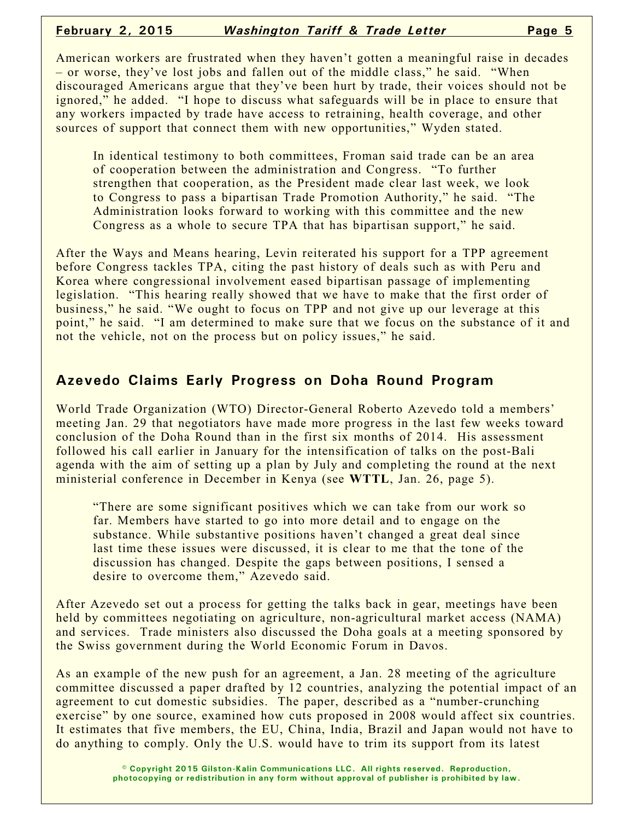American workers are frustrated when they haven't gotten a meaningful raise in decades – or worse, they've lost jobs and fallen out of the middle class," he said. "When discouraged Americans argue that they've been hurt by trade, their voices should not be ignored," he added. "I hope to discuss what safeguards will be in place to ensure that any workers impacted by trade have access to retraining, health coverage, and other sources of support that connect them with new opportunities," Wyden stated.

In identical testimony to both committees, Froman said trade can be an area of cooperation between the administration and Congress. "To further strengthen that cooperation, as the President made clear last week, we look to Congress to pass a bipartisan Trade Promotion Authority," he said. "The Administration looks forward to working with this committee and the new Congress as a whole to secure TPA that has bipartisan support," he said.

After the Ways and Means hearing, Levin reiterated his support for a TPP agreement before Congress tackles TPA, citing the past history of deals such as with Peru and Korea where congressional involvement eased bipartisan passage of implementing legislation. "This hearing really showed that we have to make that the first order of business," he said. "We ought to focus on TPP and not give up our leverage at this point," he said. "I am determined to make sure that we focus on the substance of it and not the vehicle, not on the process but on policy issues," he said.

### **Azevedo Claims Early Progress on Doha Round Program**

World Trade Organization (WTO) Director-General Roberto Azevedo told a members' meeting Jan. 29 that negotiators have made more progress in the last few weeks toward conclusion of the Doha Round than in the first six months of 2014. His assessment followed his call earlier in January for the intensification of talks on the post-Bali agenda with the aim of setting up a plan by July and completing the round at the next ministerial conference in December in Kenya (see **WTTL**, Jan. 26, page 5).

"There are some significant positives which we can take from our work so far. Members have started to go into more detail and to engage on the substance. While substantive positions haven't changed a great deal since last time these issues were discussed, it is clear to me that the tone of the discussion has changed. Despite the gaps between positions, I sensed a desire to overcome them," Azevedo said.

After Azevedo set out a process for getting the talks back in gear, meetings have been held by committees negotiating on agriculture, non-agricultural market access (NAMA) and services. Trade ministers also discussed the Doha goals at a meeting sponsored by the Swiss government during the World Economic Forum in Davos.

As an example of the new push for an agreement, a Jan. 28 meeting of the agriculture committee discussed a paper drafted by 12 countries, analyzing the potential impact of an agreement to cut domestic subsidies. The paper, described as a "number-crunching exercise" by one source, examined how cuts proposed in 2008 would affect six countries. It estimates that five members, the EU, China, India, Brazil and Japan would not have to do anything to comply. Only the U.S. would have to trim its support from its latest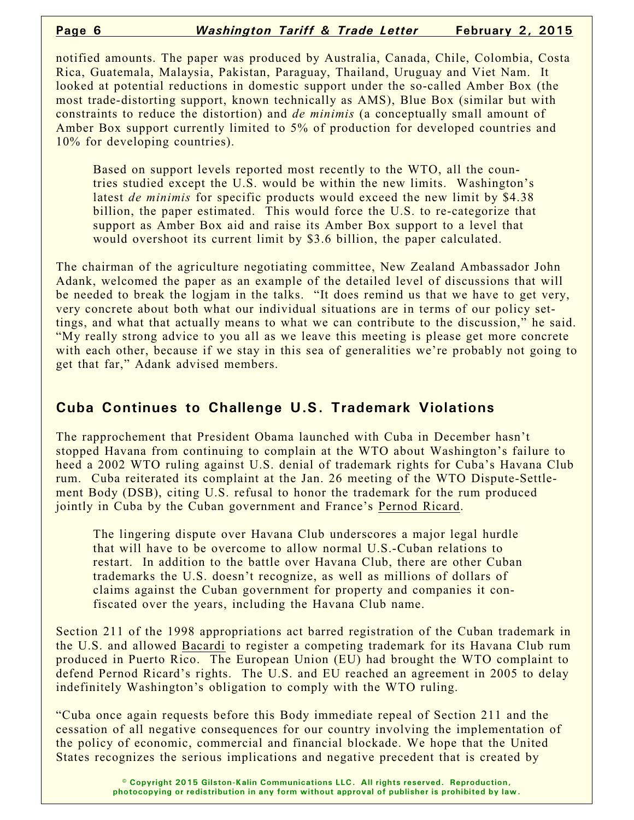notified amounts. The paper was produced by Australia, Canada, Chile, Colombia, Costa Rica, Guatemala, Malaysia, Pakistan, Paraguay, Thailand, Uruguay and Viet Nam. It looked at potential reductions in domestic support under the so-called Amber Box (the most trade-distorting support, known technically as AMS), Blue Box (similar but with constraints to reduce the distortion) and *de minimis* (a conceptually small amount of Amber Box support currently limited to 5% of production for developed countries and 10% for developing countries).

Based on support levels reported most recently to the WTO, all the countries studied except the U.S. would be within the new limits. Washington's latest *de minimis* for specific products would exceed the new limit by \$4.38 billion, the paper estimated. This would force the U.S. to re-categorize that support as Amber Box aid and raise its Amber Box support to a level that would overshoot its current limit by \$3.6 billion, the paper calculated.

The chairman of the agriculture negotiating committee, New Zealand Ambassador John Adank, welcomed the paper as an example of the detailed level of discussions that will be needed to break the logjam in the talks. "It does remind us that we have to get very, very concrete about both what our individual situations are in terms of our policy settings, and what that actually means to what we can contribute to the discussion," he said. "My really strong advice to you all as we leave this meeting is please get more concrete with each other, because if we stay in this sea of generalities we're probably not going to get that far," Adank advised members.

#### **Cuba Continues to Challenge U.S. Trademark Violations**

The rapprochement that President Obama launched with Cuba in December hasn't stopped Havana from continuing to complain at the WTO about Washington's failure to heed a 2002 WTO ruling against U.S. denial of trademark rights for Cuba's Havana Club rum. Cuba reiterated its complaint at the Jan. 26 meeting of the WTO Dispute-Settlement Body (DSB), citing U.S. refusal to honor the trademark for the rum produced jointly in Cuba by the Cuban government and France's Pernod Ricard.

The lingering dispute over Havana Club underscores a major legal hurdle that will have to be overcome to allow normal U.S.-Cuban relations to restart. In addition to the battle over Havana Club, there are other Cuban trademarks the U.S. doesn't recognize, as well as millions of dollars of claims against the Cuban government for property and companies it confiscated over the years, including the Havana Club name.

Section 211 of the 1998 appropriations act barred registration of the Cuban trademark in the U.S. and allowed Bacardi to register a competing trademark for its Havana Club rum produced in Puerto Rico. The European Union (EU) had brought the WTO complaint to defend Pernod Ricard's rights. The U.S. and EU reached an agreement in 2005 to delay indefinitely Washington's obligation to comply with the WTO ruling.

"Cuba once again requests before this Body immediate repeal of Section 211 and the cessation of all negative consequences for our country involving the implementation of the policy of economic, commercial and financial blockade. We hope that the United States recognizes the serious implications and negative precedent that is created by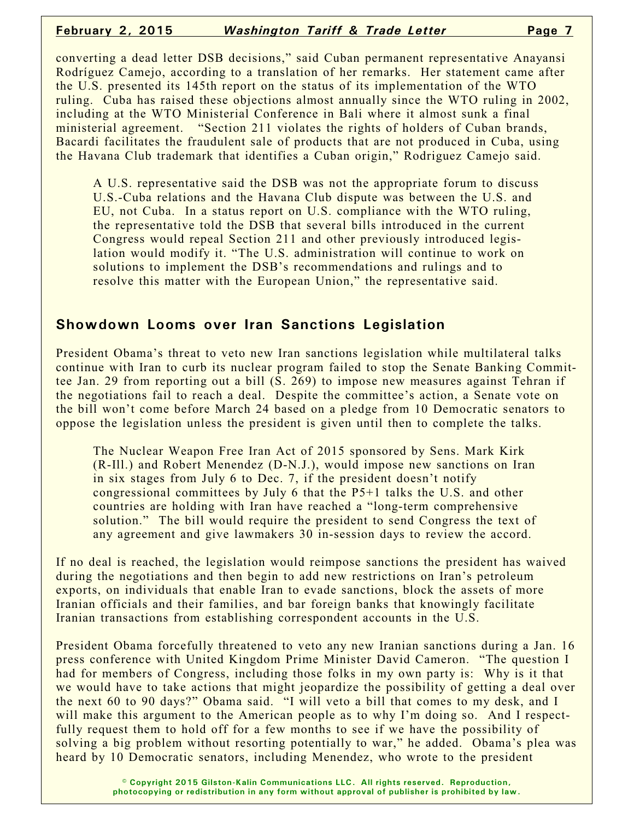converting a dead letter DSB decisions," said Cuban permanent representative Anayansi Rodríguez Camejo, according to a translation of her remarks. Her statement came after the U.S. presented its 145th report on the status of its implementation of the WTO ruling. Cuba has raised these objections almost annually since the WTO ruling in 2002, including at the WTO Ministerial Conference in Bali where it almost sunk a final ministerial agreement. "Section 211 violates the rights of holders of Cuban brands, Bacardi facilitates the fraudulent sale of products that are not produced in Cuba, using the Havana Club trademark that identifies a Cuban origin," Rodriguez Camejo said.

A U.S. representative said the DSB was not the appropriate forum to discuss U.S.-Cuba relations and the Havana Club dispute was between the U.S. and EU, not Cuba. In a status report on U.S. compliance with the WTO ruling, the representative told the DSB that several bills introduced in the current Congress would repeal Section 211 and other previously introduced legislation would modify it. "The U.S. administration will continue to work on solutions to implement the DSB's recommendations and rulings and to resolve this matter with the European Union," the representative said.

#### **Showdown Looms over Iran Sanctions Legislation**

President Obama's threat to veto new Iran sanctions legislation while multilateral talks continue with Iran to curb its nuclear program failed to stop the Senate Banking Committee Jan. 29 from reporting out a bill (S. 269) to impose new measures against Tehran if the negotiations fail to reach a deal. Despite the committee's action, a Senate vote on the bill won't come before March 24 based on a pledge from 10 Democratic senators to oppose the legislation unless the president is given until then to complete the talks.

The Nuclear Weapon Free Iran Act of 2015 sponsored by Sens. Mark Kirk (R-Ill.) and Robert Menendez (D-N.J.), would impose new sanctions on Iran in six stages from July 6 to Dec. 7, if the president doesn't notify congressional committees by July 6 that the P5+1 talks the U.S. and other countries are holding with Iran have reached a "long-term comprehensive solution." The bill would require the president to send Congress the text of any agreement and give lawmakers 30 in-session days to review the accord.

If no deal is reached, the legislation would reimpose sanctions the president has waived during the negotiations and then begin to add new restrictions on Iran's petroleum exports, on individuals that enable Iran to evade sanctions, block the assets of more Iranian officials and their families, and bar foreign banks that knowingly facilitate Iranian transactions from establishing correspondent accounts in the U.S.

President Obama forcefully threatened to veto any new Iranian sanctions during a Jan. 16 press conference with United Kingdom Prime Minister David Cameron. "The question I had for members of Congress, including those folks in my own party is: Why is it that we would have to take actions that might jeopardize the possibility of getting a deal over the next 60 to 90 days?" Obama said. "I will veto a bill that comes to my desk, and I will make this argument to the American people as to why I'm doing so. And I respectfully request them to hold off for a few months to see if we have the possibility of solving a big problem without resorting potentially to war," he added. Obama's plea was heard by 10 Democratic senators, including Menendez, who wrote to the president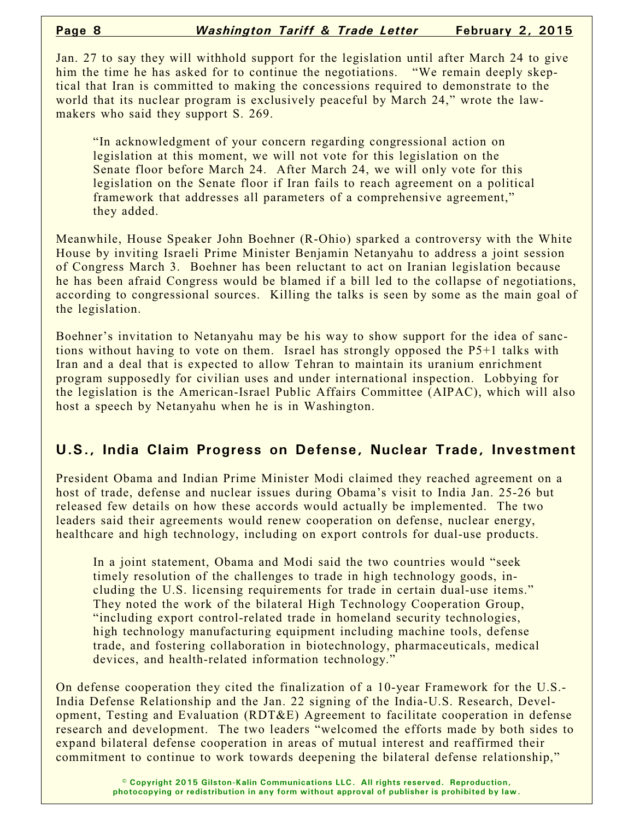Jan. 27 to say they will withhold support for the legislation until after March 24 to give him the time he has asked for to continue the negotiations. "We remain deeply skeptical that Iran is committed to making the concessions required to demonstrate to the world that its nuclear program is exclusively peaceful by March 24," wrote the lawmakers who said they support S. 269.

"In acknowledgment of your concern regarding congressional action on legislation at this moment, we will not vote for this legislation on the Senate floor before March 24. After March 24, we will only vote for this legislation on the Senate floor if Iran fails to reach agreement on a political framework that addresses all parameters of a comprehensive agreement," they added.

Meanwhile, House Speaker John Boehner (R-Ohio) sparked a controversy with the White House by inviting Israeli Prime Minister Benjamin Netanyahu to address a joint session of Congress March 3. Boehner has been reluctant to act on Iranian legislation because he has been afraid Congress would be blamed if a bill led to the collapse of negotiations, according to congressional sources. Killing the talks is seen by some as the main goal of the legislation.

Boehner's invitation to Netanyahu may be his way to show support for the idea of sanctions without having to vote on them. Israel has strongly opposed the P5+1 talks with Iran and a deal that is expected to allow Tehran to maintain its uranium enrichment program supposedly for civilian uses and under international inspection. Lobbying for the legislation is the American-Israel Public Affairs Committee (AIPAC), which will also host a speech by Netanyahu when he is in Washington.

#### **U.S., India Claim Progress on Defense, Nuclear Trade, Investment**

President Obama and Indian Prime Minister Modi claimed they reached agreement on a host of trade, defense and nuclear issues during Obama's visit to India Jan. 25-26 but released few details on how these accords would actually be implemented. The two leaders said their agreements would renew cooperation on defense, nuclear energy, healthcare and high technology, including on export controls for dual-use products.

In a joint statement, Obama and Modi said the two countries would "seek timely resolution of the challenges to trade in high technology goods, including the U.S. licensing requirements for trade in certain dual-use items." They noted the work of the bilateral High Technology Cooperation Group, "including export control-related trade in homeland security technologies, high technology manufacturing equipment including machine tools, defense trade, and fostering collaboration in biotechnology, pharmaceuticals, medical devices, and health-related information technology."

On defense cooperation they cited the finalization of a 10-year Framework for the U.S.- India Defense Relationship and the Jan. 22 signing of the India-U.S. Research, Development, Testing and Evaluation (RDT&E) Agreement to facilitate cooperation in defense research and development. The two leaders "welcomed the efforts made by both sides to expand bilateral defense cooperation in areas of mutual interest and reaffirmed their commitment to continue to work towards deepening the bilateral defense relationship,"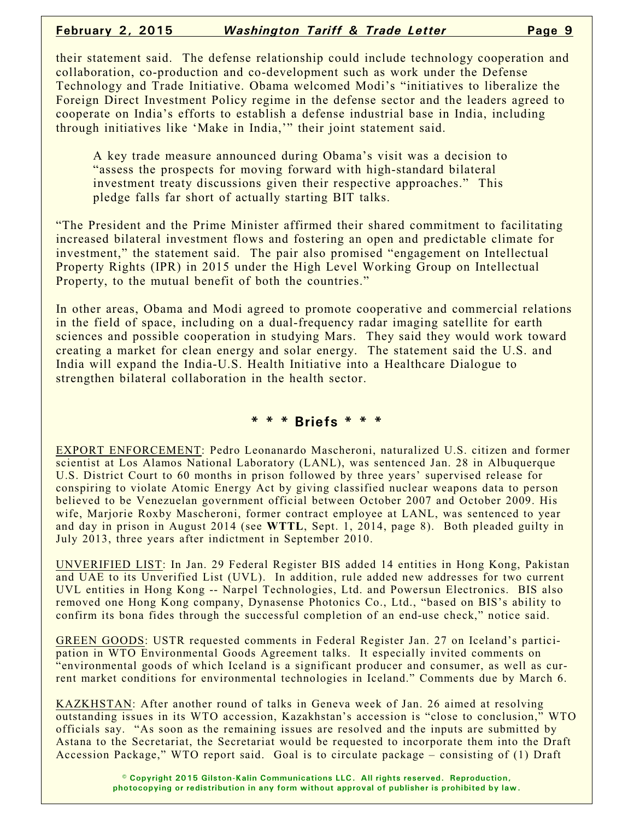#### **February 2, 2015** *Washington Tariff & Trade Letter* **Page 9**

their statement said. The defense relationship could include technology cooperation and collaboration, co-production and co-development such as work under the Defense Technology and Trade Initiative. Obama welcomed Modi's "initiatives to liberalize the Foreign Direct Investment Policy regime in the defense sector and the leaders agreed to cooperate on India's efforts to establish a defense industrial base in India, including through initiatives like 'Make in India,'" their joint statement said.

A key trade measure announced during Obama's visit was a decision to "assess the prospects for moving forward with high-standard bilateral investment treaty discussions given their respective approaches." This pledge falls far short of actually starting BIT talks.

"The President and the Prime Minister affirmed their shared commitment to facilitating increased bilateral investment flows and fostering an open and predictable climate for investment," the statement said. The pair also promised "engagement on Intellectual Property Rights (IPR) in 2015 under the High Level Working Group on Intellectual Property, to the mutual benefit of both the countries."

In other areas, Obama and Modi agreed to promote cooperative and commercial relations in the field of space, including on a dual-frequency radar imaging satellite for earth sciences and possible cooperation in studying Mars. They said they would work toward creating a market for clean energy and solar energy. The statement said the U.S. and India will expand the India-U.S. Health Initiative into a Healthcare Dialogue to strengthen bilateral collaboration in the health sector.

#### **\* \* \* Briefs \* \* \***

EXPORT ENFORCEMENT: Pedro Leonanardo Mascheroni, naturalized U.S. citizen and former scientist at Los Alamos National Laboratory (LANL), was sentenced Jan. 28 in Albuquerque U.S. District Court to 60 months in prison followed by three years' supervised release for conspiring to violate Atomic Energy Act by giving classified nuclear weapons data to person believed to be Venezuelan government official between October 2007 and October 2009. His wife, Marjorie Roxby Mascheroni, former contract employee at LANL, was sentenced to year and day in prison in August 2014 (see **WTTL**, Sept. 1, 2014, page 8). Both pleaded guilty in July 2013, three years after indictment in September 2010.

UNVERIFIED LIST: In Jan. 29 Federal Register BIS added 14 entities in Hong Kong, Pakistan and UAE to its Unverified List (UVL). In addition, rule added new addresses for two current UVL entities in Hong Kong -- Narpel Technologies, Ltd. and Powersun Electronics. BIS also removed one Hong Kong company, Dynasense Photonics Co., Ltd., "based on BIS's ability to confirm its bona fides through the successful completion of an end-use check," notice said.

GREEN GOODS: USTR requested comments in Federal Register Jan. 27 on Iceland's participation in WTO Environmental Goods Agreement talks. It especially invited comments on "environmental goods of which Iceland is a significant producer and consumer, as well as current market conditions for environmental technologies in Iceland." Comments due by March 6.

KAZKHSTAN: After another round of talks in Geneva week of Jan. 26 aimed at resolving outstanding issues in its WTO accession, Kazakhstan's accession is "close to conclusion," WTO officials say. "As soon as the remaining issues are resolved and the inputs are submitted by Astana to the Secretariat, the Secretariat would be requested to incorporate them into the Draft Accession Package," WTO report said. Goal is to circulate package – consisting of (1) Draft